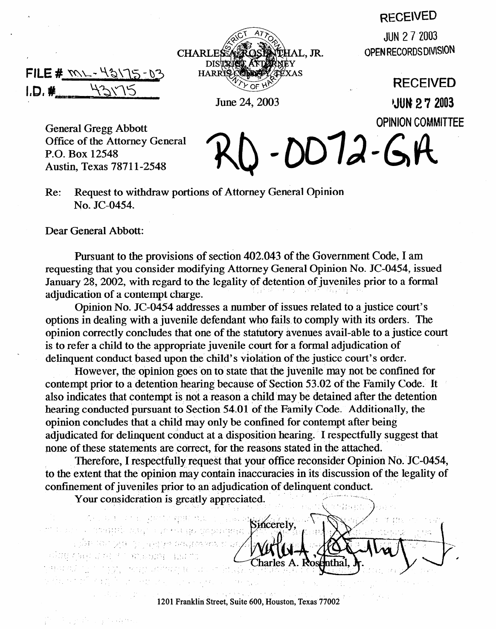## **RECEIVED**

**OPEN RECORDS DIVISION** 





**RECEIVED**  June 24, 2003 **JUN 2 7 2003 OPINION COMMITTEE** 

General Gregg Abbott Office of the Attorney General P.O. Box 12548 Austin, Texas 7871 l-2548

 $-DD72-GR$ Re: Request to withdraw portions of Attorney General Opinion No. JC-0454.

Dear General Abbott:

Pursuant to the provisions of section 402.043 of the Government Code, I am requesting that you consider modifying Attorney General Opinion No. JC-0454, issued requesting that you consider modifying Attorney General Opinion No. JC-0454, issued January 28,2002, with regard to the legality of detention of juveniles prior to a formal adjudication of a contempt charge.<br>Opinion No. JC-0454 addresses a number of issues related to a justice court's

Opinion No. JC-0454 addresses a number of issues related to a justice court's options in dealing with a juvenile defendant who fails. to comply with its orders. The opinion correctly concludes that one of the statutory avenues avail-able to a justice court delinquent conduct based upon the child's violation of the justice court's order.

However, the opinion goes on to state that the juvenile may not be confined for contempt prior to a detention hearing because of Section 53.02 of the Family Code. It example prior to a detention hearing because of Section 53.02 of the Family Code. It also indicates that contempt is not a reason a child may be detained after the detention hearing conducted pursuant to Section 54.01 of the Family Code. Additionally, the opinion concludes that a child may only be confined for contempt after being. adjudicated for delinquent conduct at a disposition hearing. I respectfully suggest that none of these statements are correct, for the reasons stated in the attached.

Therefore, I respectfully request that your office reconsider Opinion No. JC-0454, to the extent that the opinion may contain inaccuracies in its discussion of the legality of confinement of juveniles prior to an adjudication of delinquent conduct.

Your consideration is greatly appreciated. Your consideration is greatly considerated to the consideration of the consideration of the consideration of t<br>The consideration of the consideration of the consideration of the consideration of the consideration of the c

r (kristorik) - 1 khr. (linkopfer)<br>2020 (skrik) - 9 november 1996, met

: . \_\_ '2 , ,-. . : ' . . . . . . . ' : . . \_, \_. : ~ j i. , > t. ,.

. . 1 . : .' . ,

jan Perdajat Landa

ាដែលបានបង្ហាញនេះ និងការបង្ហាញនេះ បង្កើតនៅក្នុងព្រះអង្គនៅ<br>ការិកន្លែងការបង្កើតនៅអង្គនៅក្នុងអង្គនា និងការបង្កើតនៅក្នុងការសារយោងនេះ Sincerely, Charles A. Rosenthal

1201 Franklin Street, Suite 600, Houston, Texas 77002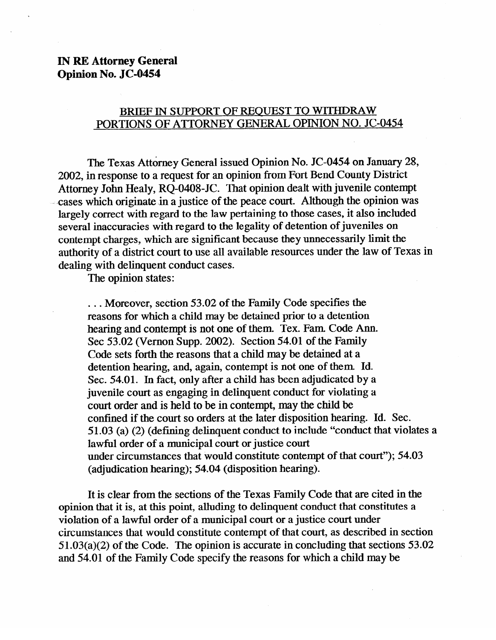## **IN RE Attorney General Opinion No. JC-0454**

## BRIEF IN SUPPORT OF REQUEST TO WITHDRAW PORTIONS OF ATTORNEY GENERAL OPINION NO. JC-0454

The Texas Attorney General issued Opinion No. JC-0454 on January 28, 2002, in response to a request for an opinion from Fort Bend County District Attorney John Healy, RQ-0408-JC. That opinion dealt with juvenile contempt cases which originate in a justice of the peace court. Although the opinion was largely correct with regard to the law pertaining to those cases, it also included several inaccuracies with regard to the legality of detention of juveniles on contempt charges, which are significant because they unnecessarily limit the contempt charges, which are significant because they unnecessarily limit the authority of a district court to use all available resources under the law of Texas in dealing with delinquent conduct cases.

The opinion states:

... Moreover, section 53.02 of the Family Code specifies the reasons for which a child may be detained prior to a detention hearing and contempt is not one of them. Tex. Fam. Code Ann. Sec 53.02 (Vernon Supp. 2002). Section 54.01 of the Family Code sets forth the reasons that a child may be detained at a detention hearing, and, again, contempt is not one of them Id. Sec. 54.01. In fact, only after a child has been adjudicated by a juvenile court as engaging in delinquent conduct for violating a court order and is held to be in contempt, may the child be confined if the court so orders at the later disposition hearing. Id. Sec. 51.03 (a) (2) (defining delinquent conduct to include "conduct that violates a lawful order of a municipal court or justice court under circumstances that would constitute contempt of that court"); 54.03 (adjudication hearing);  $54.04$  (disposition hearing).  $\frac{1}{\sqrt{2}}$ 

It is clear from the sections of the Texas Family Code that are cited in the opinion that it is, at this point, alluding to delinquent conduct that constitutes a violation of a lawful order of a municipal court or a justice court under circumstances that would constitute contempt of that court, as described in section  $51.03(a)(2)$  of the Code. The opinion is accurate in concluding that sections  $53.02$ and 54.01 of the Family Code specify the reasons for which a child may be and  $54.01$  of the Family Code specific the reasons for which a child may be reasons for which a child may be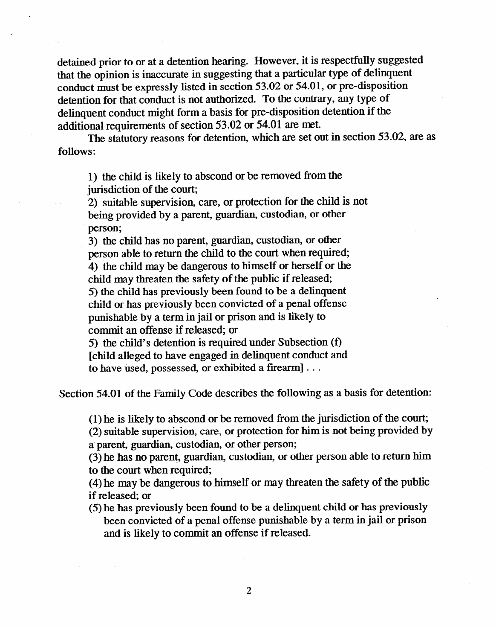detained prior to or at a detention hearing. However, it is respectfully suggested that the opinion is inaccurate in suggesting that a particular type of delinquent conduct must be expressly listed in section 53.02 or 54.01, or pre-disposition detention for that conduct is not authorized. To the contrary, any type of delinquent conduct might form a basis for pre-disposition detention if the additional requirements of section 53.02 or 54.01 are met.

The statutory reasons for detention, which are set out in section 53.02, are as follows:

1) the child is likely to abscond or be removed from the jurisdiction of the court;

2) suitable supervision, care, or protection for the child is not being provided by a parent, guardian, custodian, or other

person;<br>3) the child has no parent, guardian, custodian, or other person able to return the child to the court when required; person able to return the child to the court when required; 4) the child may be dangerous to minself of herself or the child may threaten the safety of the public if released;<br>5) the child has previously been found to be a delinquent child or has previously been convicted of a penal offense punishable by a term in jail or prison and is likely to commit an offense if released; or

5) the child's detention is required under Subsection  $(f)$ [child alleged to have engaged in delinquent conduct and [child alleged to have engaged in delinquent conduct and to have used, possessed, or exhibited a firearm] . . .

Section 54.01 of the Family Code describes the following as a basis for detention:

(1) he is likely to abscond or be removed from the jurisdiction of the court;<br>(2) suitable supervision, care, or protection for him is not being provided by a parent, guardian, custodian, or other person;

(3) he has no parent, guardian, custodian, or other person able to return him to the court when required;

 $(4)$  he may be dangerous to himself or may threaten the safety of the public if released: or

 $(5)$  he has previously been found to be a delinquent child or has previously been convicted of a penal offense punishable by a term in jail or prison and is likely to commit an offense if released. and is likely to commit an offense if  $\alpha$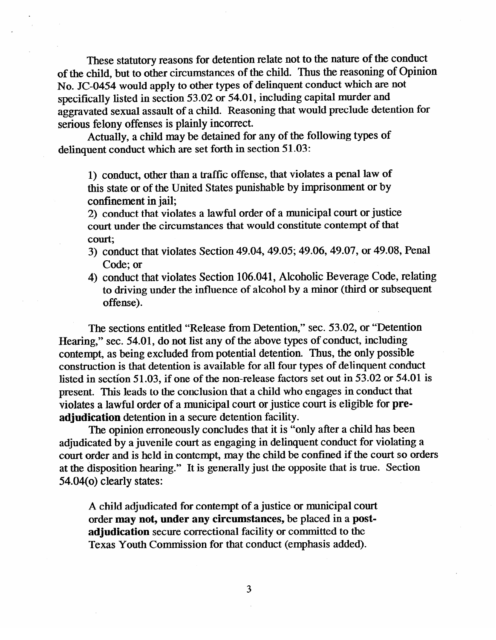These statutory reasons for detention relate not to the nature of the conduct of the child, but to other circumstances of the child. Thus the reasoning of Opinion No. JC-0454 would apply to other types of delinquent conduct which are not specifically listed in section 53.02 or 54.01, including capital murder and aggravated sexual assault of a child. Reasoning that would preclude detention for serious felony offenses is plainly incorrect.

Actually, a child may be detained for any of the following types of delinquent conduct which are set forth in section 51.03:

1) conduct, other than a traffic offense, that violates a penal law of this state or of the United States punishable by imprisonment or by confinement in jail;

2) conduct that violates a lawful order of a municipal court or justice court under the circumstances that would constitute contempt of that court,

- 3) conduct that violates Section 49.04, 49.05, 49.06, 49.07, or 49.06, Penal Code; or<br>4) conduct that violates Section 106.041, Alcoholic Beverage Code, relating
- 4) conduct that violates Section 106.041, Alcoholic Beverage Code, relating to driving under the influence of alcohol by a minor (third or subsequent offense).

The sections entitled "Release from Detention," sec. 53.02, or "Detention<br>Hearing," sec. 54.01, do not list any of the above types of conduct, including contempt, as being excluded from potential detention. Thus, the only possible construction is that detention is available for all four types of delinquent conduct listed in section 51.03, if one of the non-release factors set out in  $53.02$  or  $54.01$  is present. This leads to the conclusion that a child who engages in conduct that violates a lawful order of a municipal court or justice court is eligible for preadjudication detention in a secure detention facility.

The opinion erroneously concludes that it is "only after a child has been adjudicated by a juvenile court as engaging in delinquent conduct for violating a court order and is held in contempt, may the child be confined if the court so orders at the disposition hearing." It is generally just the opposite that is true. Section  $54.04<sub>(o)</sub>$  clearly states: **54.04(o)** clearly states:

A child adjudicated for contempt of a justice or municipal court order may not, under any circumstances, be placed in a postadjudication secure correctional facility or committed to the Texas Youth Commission for that conduct (emphasis added). Texas Youth Commission for that conduct (emphasis added).